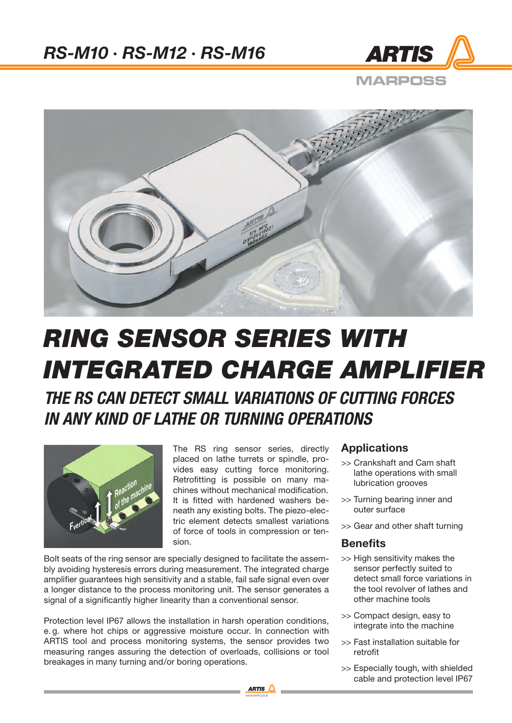



# *Ring Sensor series with integrated charge amplifier*

*The RS can detect small variations of cutt ing forces in any kind of lathe or turning operations*



The RS ring sensor series, directly placed on lathe turrets or spindle, provides easy cutting force monitoring. Retrofitting is possible on many machines without mechanical modification. It is fitted with hardened washers beneath any existing bolts. The piezo-electric element detects smallest variations of force of tools in compression or tension.

Bolt seats of the ring sensor are specially designed to facilitate the assembly avoiding hysteresis errors during measurement. The integrated charge amplifier guarantees high sensitivity and a stable, fail safe signal even over a longer distance to the process monitoring unit. The sensor generates a signal of a significantly higher linearity than a conventional sensor.

Protection level IP67 allows the installation in harsh operation conditions, e. g. where hot chips or aggressive moisture occur. In connection with ARTIS tool and process monitoring systems, the sensor provides two measuring ranges assuring the detection of overloads, collisions or tool breakages in many turning and/or boring operations.

## **Applications**

- >> Crankshaft and Cam shaft lathe operations with small lubrication grooves
- >> Turning bearing inner and outer surface
- >> Gear and other shaft turning

#### **Benefits**

- >> High sensitivity makes the sensor perfectly suited to detect small force variations in the tool revolver of lathes and other machine tools
- >> Compact design, easy to integrate into the machine
- >> Fast installation suitable for retrofit
- >> Especially tough, with shielded cable and protection level IP67